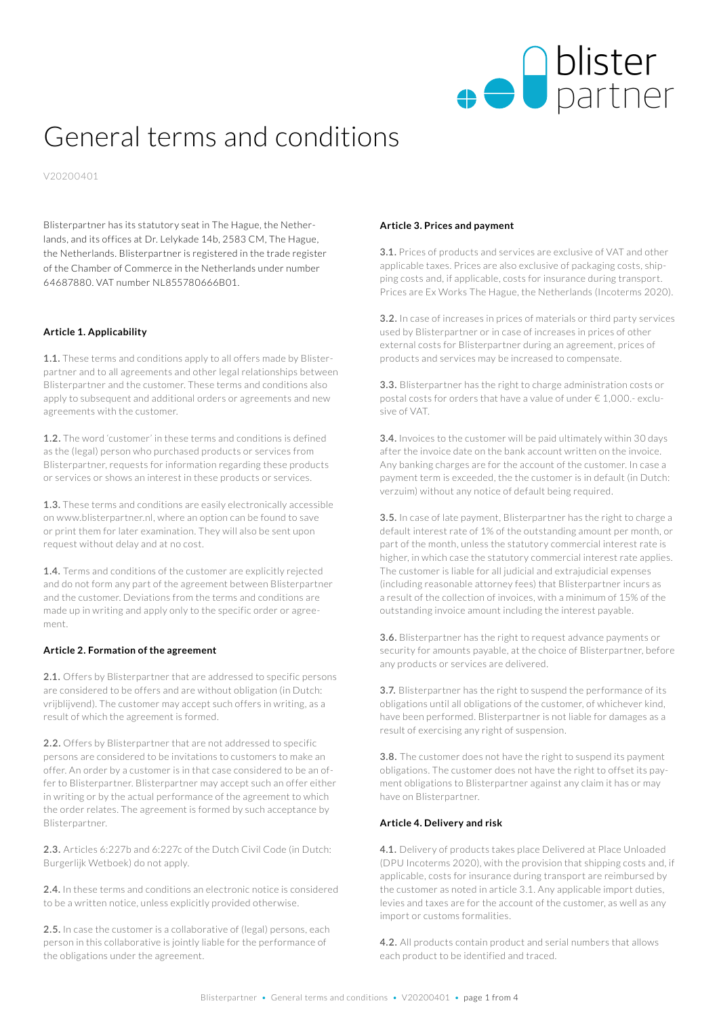

# General terms and conditions

V20200401

Blisterpartner has its statutory seat in The Hague, the Netherlands, and its offices at Dr. Lelykade 14b, 2583 CM, The Hague, the Netherlands. Blisterpartner is registered in the trade register of the Chamber of Commerce in the Netherlands under number 64687880. VAT number NL855780666B01.

#### **Article 1. Applicability**

**1.1.** These terms and conditions apply to all offers made by Blisterpartner and to all agreements and other legal relationships between Blisterpartner and the customer. These terms and conditions also apply to subsequent and additional orders or agreements and new agreements with the customer.

**1.2.** The word 'customer' in these terms and conditions is defined as the (legal) person who purchased products or services from Blisterpartner, requests for information regarding these products or services or shows an interest in these products or services.

**1.3.** These terms and conditions are easily electronically accessible on www.blisterpartner.nl, where an option can be found to save or print them for later examination. They will also be sent upon request without delay and at no cost.

**1.4.** Terms and conditions of the customer are explicitly rejected and do not form any part of the agreement between Blisterpartner and the customer. Deviations from the terms and conditions are made up in writing and apply only to the specific order or agreement.

#### **Article 2. Formation of the agreement**

**2.1.** Offers by Blisterpartner that are addressed to specific persons are considered to be offers and are without obligation (in Dutch: vrijblijvend). The customer may accept such offers in writing, as a result of which the agreement is formed.

**2.2.** Offers by Blisterpartner that are not addressed to specific persons are considered to be invitations to customers to make an offer. An order by a customer is in that case considered to be an offer to Blisterpartner. Blisterpartner may accept such an offer either in writing or by the actual performance of the agreement to which the order relates. The agreement is formed by such acceptance by Blisterpartner.

**2.3.** Articles 6:227b and 6:227c of the Dutch Civil Code (in Dutch: Burgerlijk Wetboek) do not apply.

**2.4.** In these terms and conditions an electronic notice is considered to be a written notice, unless explicitly provided otherwise.

**2.5.** In case the customer is a collaborative of (legal) persons, each person in this collaborative is jointly liable for the performance of the obligations under the agreement.

#### **Article 3. Prices and payment**

**3.1.** Prices of products and services are exclusive of VAT and other applicable taxes. Prices are also exclusive of packaging costs, shipping costs and, if applicable, costs for insurance during transport. Prices are Ex Works The Hague, the Netherlands (Incoterms 2020).

**3.2.** In case of increases in prices of materials or third party services used by Blisterpartner or in case of increases in prices of other external costs for Blisterpartner during an agreement, prices of products and services may be increased to compensate.

**3.3.** Blisterpartner has the right to charge administration costs or postal costs for orders that have a value of under € 1,000.- exclusive of VAT.

**3.4.** Invoices to the customer will be paid ultimately within 30 days after the invoice date on the bank account written on the invoice. Any banking charges are for the account of the customer. In case a payment term is exceeded, the the customer is in default (in Dutch: verzuim) without any notice of default being required.

**3.5.** In case of late payment, Blisterpartner has the right to charge a default interest rate of 1% of the outstanding amount per month, or part of the month, unless the statutory commercial interest rate is higher, in which case the statutory commercial interest rate applies. The customer is liable for all judicial and extrajudicial expenses (including reasonable attorney fees) that Blisterpartner incurs as a result of the collection of invoices, with a minimum of 15% of the outstanding invoice amount including the interest payable.

**3.6.** Blisterpartner has the right to request advance payments or security for amounts payable, at the choice of Blisterpartner, before any products or services are delivered.

**3.7.** Blisterpartner has the right to suspend the performance of its obligations until all obligations of the customer, of whichever kind, have been performed. Blisterpartner is not liable for damages as a result of exercising any right of suspension.

**3.8.** The customer does not have the right to suspend its payment obligations. The customer does not have the right to offset its payment obligations to Blisterpartner against any claim it has or may have on Blisterpartner.

#### **Article 4. Delivery and risk**

**4.1.** Delivery of products takes place Delivered at Place Unloaded (DPU Incoterms 2020), with the provision that shipping costs and, if applicable, costs for insurance during transport are reimbursed by the customer as noted in article 3.1. Any applicable import duties, levies and taxes are for the account of the customer, as well as any import or customs formalities.

**4.2.** All products contain product and serial numbers that allows each product to be identified and traced.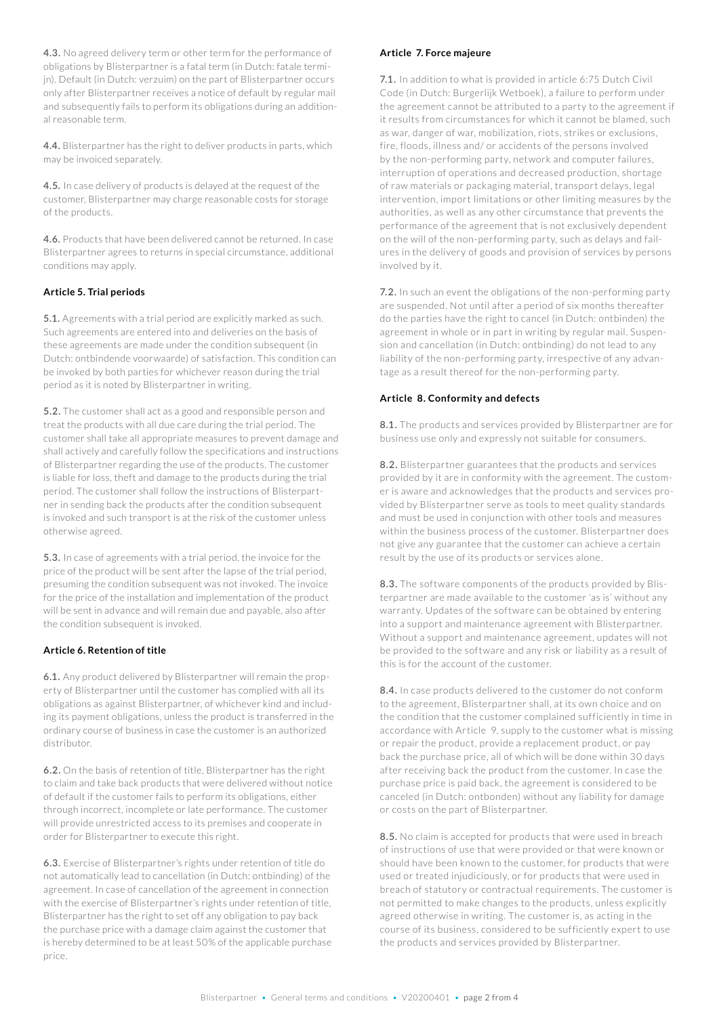**4.3.** No agreed delivery term or other term for the performance of obligations by Blisterpartner is a fatal term (in Dutch: fatale termijn). Default (in Dutch: verzuim) on the part of Blisterpartner occurs only after Blisterpartner receives a notice of default by regular mail and subsequently fails to perform its obligations during an additional reasonable term.

**4.4.** Blisterpartner has the right to deliver products in parts, which may be invoiced separately.

**4.5.** In case delivery of products is delayed at the request of the customer, Blisterpartner may charge reasonable costs for storage of the products.

**4.6.** Products that have been delivered cannot be returned. In case Blisterpartner agrees to returns in special circumstance, additional conditions may apply.

## **Article 5. Trial periods**

**5.1.** Agreements with a trial period are explicitly marked as such. Such agreements are entered into and deliveries on the basis of these agreements are made under the condition subsequent (in Dutch: ontbindende voorwaarde) of satisfaction. This condition can be invoked by both parties for whichever reason during the trial period as it is noted by Blisterpartner in writing.

**5.2.** The customer shall act as a good and responsible person and treat the products with all due care during the trial period. The customer shall take all appropriate measures to prevent damage and shall actively and carefully follow the specifications and instructions of Blisterpartner regarding the use of the products. The customer is liable for loss, theft and damage to the products during the trial period. The customer shall follow the instructions of Blisterpartner in sending back the products after the condition subsequent is invoked and such transport is at the risk of the customer unless otherwise agreed.

**5.3.** In case of agreements with a trial period, the invoice for the price of the product will be sent after the lapse of the trial period, presuming the condition subsequent was not invoked. The invoice for the price of the installation and implementation of the product will be sent in advance and will remain due and payable, also after the condition subsequent is invoked.

#### **Article 6. Retention of title**

**6.1.** Any product delivered by Blisterpartner will remain the property of Blisterpartner until the customer has complied with all its obligations as against Blisterpartner, of whichever kind and including its payment obligations, unless the product is transferred in the ordinary course of business in case the customer is an authorized distributor.

**6.2.** On the basis of retention of title, Blisterpartner has the right to claim and take back products that were delivered without notice of default if the customer fails to perform its obligations, either through incorrect, incomplete or late performance. The customer will provide unrestricted access to its premises and cooperate in order for Blisterpartner to execute this right.

**6.3.** Exercise of Blisterpartner's rights under retention of title do not automatically lead to cancellation (in Dutch: ontbinding) of the agreement. In case of cancellation of the agreement in connection with the exercise of Blisterpartner's rights under retention of title, Blisterpartner has the right to set off any obligation to pay back the purchase price with a damage claim against the customer that is hereby determined to be at least 50% of the applicable purchase price.

#### **Article 7. Force majeure**

**7.1.** In addition to what is provided in article 6:75 Dutch Civil Code (in Dutch: Burgerlijk Wetboek), a failure to perform under the agreement cannot be attributed to a party to the agreement if it results from circumstances for which it cannot be blamed, such as war, danger of war, mobilization, riots, strikes or exclusions, fire, floods, illness and/ or accidents of the persons involved by the non-performing party, network and computer failures, interruption of operations and decreased production, shortage of raw materials or packaging material, transport delays, legal intervention, import limitations or other limiting measures by the authorities, as well as any other circumstance that prevents the performance of the agreement that is not exclusively dependent on the will of the non-performing party, such as delays and failures in the delivery of goods and provision of services by persons involved by it.

**7.2.** In such an event the obligations of the non-performing party are suspended. Not until after a period of six months thereafter do the parties have the right to cancel (in Dutch: ontbinden) the agreement in whole or in part in writing by regular mail. Suspension and cancellation (in Dutch: ontbinding) do not lead to any liability of the non-performing party, irrespective of any advantage as a result thereof for the non-performing party.

#### **Article 8. Conformity and defects**

**8.1.** The products and services provided by Blisterpartner are for business use only and expressly not suitable for consumers.

**8.2.** Blisterpartner guarantees that the products and services provided by it are in conformity with the agreement. The customer is aware and acknowledges that the products and services provided by Blisterpartner serve as tools to meet quality standards and must be used in conjunction with other tools and measures within the business process of the customer. Blisterpartner does not give any guarantee that the customer can achieve a certain result by the use of its products or services alone.

**8.3.** The software components of the products provided by Blisterpartner are made available to the customer 'as is' without any warranty. Updates of the software can be obtained by entering into a support and maintenance agreement with Blisterpartner. Without a support and maintenance agreement, updates will not be provided to the software and any risk or liability as a result of this is for the account of the customer.

**8.4.** In case products delivered to the customer do not conform to the agreement, Blisterpartner shall, at its own choice and on the condition that the customer complained sufficiently in time in accordance with Article 9, supply to the customer what is missing or repair the product, provide a replacement product, or pay back the purchase price, all of which will be done within 30 days after receiving back the product from the customer. In case the purchase price is paid back, the agreement is considered to be canceled (in Dutch: ontbonden) without any liability for damage or costs on the part of Blisterpartner.

**8.5.** No claim is accepted for products that were used in breach of instructions of use that were provided or that were known or should have been known to the customer, for products that were used or treated injudiciously, or for products that were used in breach of statutory or contractual requirements. The customer is not permitted to make changes to the products, unless explicitly agreed otherwise in writing. The customer is, as acting in the course of its business, considered to be sufficiently expert to use the products and services provided by Blisterpartner.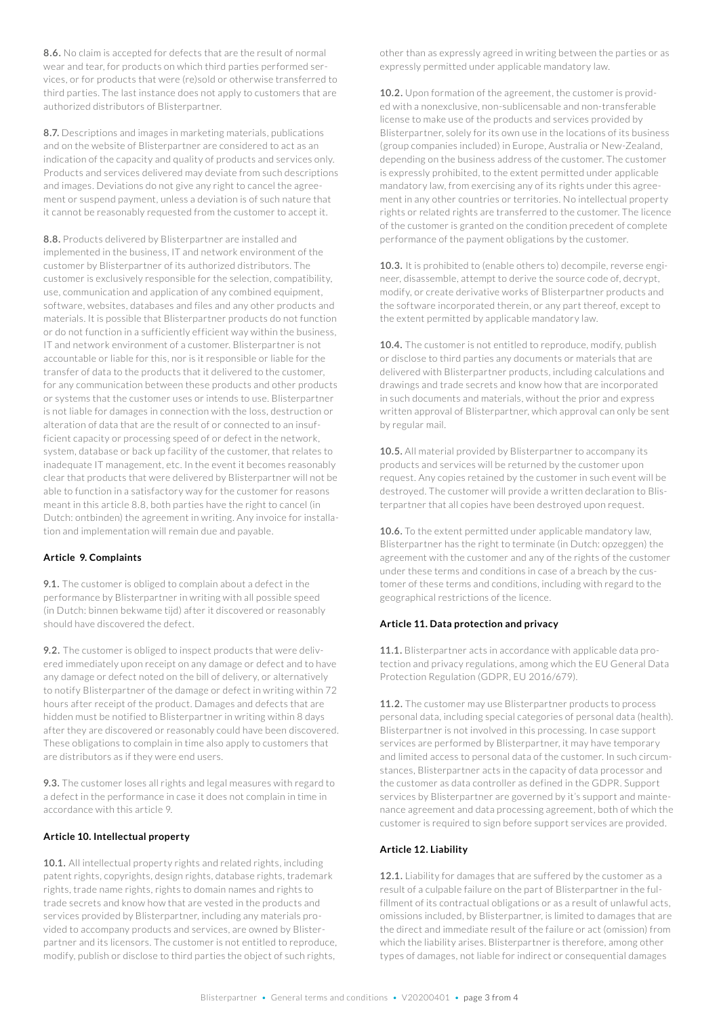**8.6.** No claim is accepted for defects that are the result of normal wear and tear, for products on which third parties performed services, or for products that were (re)sold or otherwise transferred to third parties. The last instance does not apply to customers that are authorized distributors of Blisterpartner.

**8.7.** Descriptions and images in marketing materials, publications and on the website of Blisterpartner are considered to act as an indication of the capacity and quality of products and services only. Products and services delivered may deviate from such descriptions and images. Deviations do not give any right to cancel the agreement or suspend payment, unless a deviation is of such nature that it cannot be reasonably requested from the customer to accept it.

**8.8.** Products delivered by Blisterpartner are installed and implemented in the business, IT and network environment of the customer by Blisterpartner of its authorized distributors. The customer is exclusively responsible for the selection, compatibility, use, communication and application of any combined equipment, software, websites, databases and files and any other products and materials. It is possible that Blisterpartner products do not function or do not function in a sufficiently efficient way within the business, IT and network environment of a customer. Blisterpartner is not accountable or liable for this, nor is it responsible or liable for the transfer of data to the products that it delivered to the customer, for any communication between these products and other products or systems that the customer uses or intends to use. Blisterpartner is not liable for damages in connection with the loss, destruction or alteration of data that are the result of or connected to an insufficient capacity or processing speed of or defect in the network, system, database or back up facility of the customer, that relates to inadequate IT management, etc. In the event it becomes reasonably clear that products that were delivered by Blisterpartner will not be able to function in a satisfactory way for the customer for reasons meant in this article 8.8, both parties have the right to cancel (in Dutch: ontbinden) the agreement in writing. Any invoice for installation and implementation will remain due and payable.

## **Article 9. Complaints**

**9.1.** The customer is obliged to complain about a defect in the performance by Blisterpartner in writing with all possible speed (in Dutch: binnen bekwame tijd) after it discovered or reasonably should have discovered the defect.

**9.2.** The customer is obliged to inspect products that were delivered immediately upon receipt on any damage or defect and to have any damage or defect noted on the bill of delivery, or alternatively to notify Blisterpartner of the damage or defect in writing within 72 hours after receipt of the product. Damages and defects that are hidden must be notified to Blisterpartner in writing within 8 days after they are discovered or reasonably could have been discovered. These obligations to complain in time also apply to customers that are distributors as if they were end users.

**9.3.** The customer loses all rights and legal measures with regard to a defect in the performance in case it does not complain in time in accordance with this article 9.

### **Article 10. Intellectual property**

**10.1.** All intellectual property rights and related rights, including patent rights, copyrights, design rights, database rights, trademark rights, trade name rights, rights to domain names and rights to trade secrets and know how that are vested in the products and services provided by Blisterpartner, including any materials provided to accompany products and services, are owned by Blisterpartner and its licensors. The customer is not entitled to reproduce, modify, publish or disclose to third parties the object of such rights,

other than as expressly agreed in writing between the parties or as expressly permitted under applicable mandatory law.

**10.2.** Upon formation of the agreement, the customer is provided with a nonexclusive, non-sublicensable and non-transferable license to make use of the products and services provided by Blisterpartner, solely for its own use in the locations of its business (group companies included) in Europe, Australia or New-Zealand, depending on the business address of the customer. The customer is expressly prohibited, to the extent permitted under applicable mandatory law, from exercising any of its rights under this agreement in any other countries or territories. No intellectual property rights or related rights are transferred to the customer. The licence of the customer is granted on the condition precedent of complete performance of the payment obligations by the customer.

**10.3.** It is prohibited to (enable others to) decompile, reverse engineer, disassemble, attempt to derive the source code of, decrypt, modify, or create derivative works of Blisterpartner products and the software incorporated therein, or any part thereof, except to the extent permitted by applicable mandatory law.

**10.4.** The customer is not entitled to reproduce, modify, publish or disclose to third parties any documents or materials that are delivered with Blisterpartner products, including calculations and drawings and trade secrets and know how that are incorporated in such documents and materials, without the prior and express written approval of Blisterpartner, which approval can only be sent by regular mail.

**10.5.** All material provided by Blisterpartner to accompany its products and services will be returned by the customer upon request. Any copies retained by the customer in such event will be destroyed. The customer will provide a written declaration to Blisterpartner that all copies have been destroyed upon request.

**10.6.** To the extent permitted under applicable mandatory law, Blisterpartner has the right to terminate (in Dutch: opzeggen) the agreement with the customer and any of the rights of the customer under these terms and conditions in case of a breach by the customer of these terms and conditions, including with regard to the geographical restrictions of the licence.

# **Article 11. Data protection and privacy**

**11.1.** Blisterpartner acts in accordance with applicable data protection and privacy regulations, among which the EU General Data Protection Regulation (GDPR, EU 2016/679).

**11.2.** The customer may use Blisterpartner products to process personal data, including special categories of personal data (health). Blisterpartner is not involved in this processing. In case support services are performed by Blisterpartner, it may have temporary and limited access to personal data of the customer. In such circumstances, Blisterpartner acts in the capacity of data processor and the customer as data controller as defined in the GDPR. Support services by Blisterpartner are governed by it's support and maintenance agreement and data processing agreement, both of which the customer is required to sign before support services are provided.

# **Article 12. Liability**

12.1. Liability for damages that are suffered by the customer as a result of a culpable failure on the part of Blisterpartner in the fulfillment of its contractual obligations or as a result of unlawful acts, omissions included, by Blisterpartner, is limited to damages that are the direct and immediate result of the failure or act (omission) from which the liability arises. Blisterpartner is therefore, among other types of damages, not liable for indirect or consequential damages